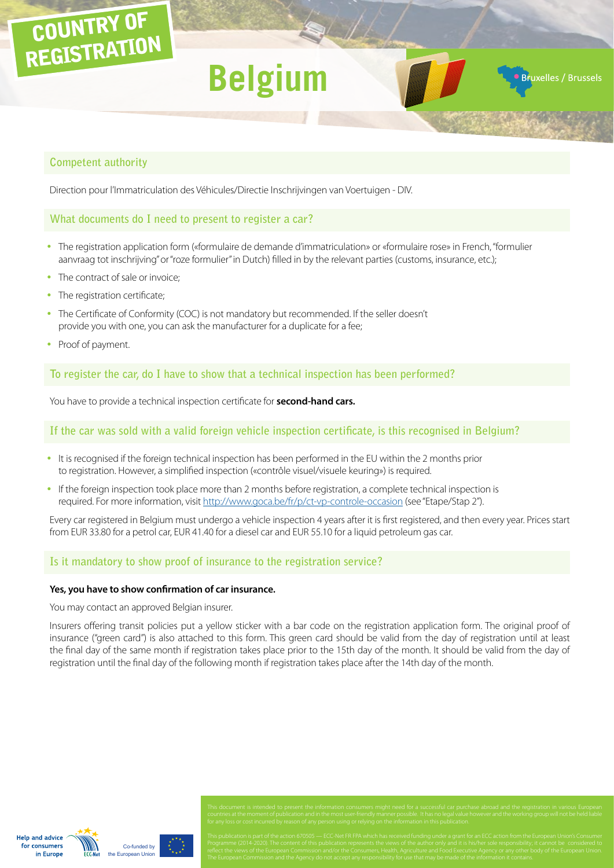# COUNTRY OF REGISTRATION

# **Belgium**

**Bruxelles / Brussels** 

# **Competent authority**

Direction pour l'Immatriculation des Véhicules/Directie Inschrijvingen van Voertuigen - DIV.

# **What documents do I need to present to register a car?**

- The registration application form («formulaire de demande d'immatriculation» or «formulaire rose» in French, "formulier aanvraag tot inschrijving" or "roze formulier" in Dutch) filled in by the relevant parties (customs, insurance, etc.);
- The contract of sale or invoice:
- The registration certificate;
- The Certificate of Conformity (COC) is not mandatory but recommended. If the seller doesn't provide you with one, you can ask the manufacturer for a duplicate for a fee;
- Proof of payment.

**To register the car, do I have to show that a technical inspection has been performed?**

You have to provide a technical inspection certificate for **second-hand cars.**

# **If the car was sold with a valid foreign vehicle inspection certificate, is this recognised in Belgium?**

- It is recognised if the foreign technical inspection has been performed in the EU within the 2 months prior to registration. However, a simplified inspection («contrôle visuel/visuele keuring») is required.
- If the foreign inspection took place more than 2 months before registration, a complete technical inspection is required. For more information, visit<http://www.goca.be/fr/p/ct-vp-controle-occasion>(see "Etape/Stap 2").

Every car registered in Belgium must undergo a vehicle inspection 4 years after it is first registered, and then every year. Prices start from EUR 33.80 for a petrol car, EUR 41.40 for a diesel car and EUR 55.10 for a liquid petroleum gas car.

# **Is it mandatory to show proof of insurance to the registration service?**

#### **Yes, you have to show confirmation of car insurance.**

You may contact an approved Belgian insurer.

Insurers offering transit policies put a yellow sticker with a bar code on the registration application form. The original proof of insurance ("green card") is also attached to this form. This green card should be valid from the day of registration until at least the final day of the same month if registration takes place prior to the 15th day of the month. It should be valid from the day of registration until the final day of the following month if registration takes place after the 14th day of the month.